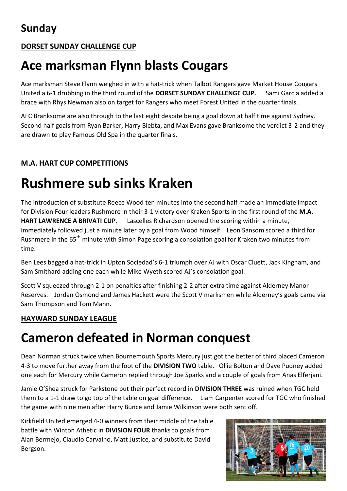### **DORSET SUNDAY CHALLENGE CUP**

## **Ace marksman Flynn blasts Cougars**

Ace marksman Steve Flynn weighed in with a hat-trick when Talbot Rangers gave Market House Cougars United a 6-1 drubbing in the third round of the **DORSET SUNDAY CHALLENGE CUP.** Sami Garcia added a brace with Rhys Newman also on target for Rangers who meet Forest United in the quarter finals.

AFC Branksome are also through to the last eight despite being a goal down at half time against Sydney. Second half goals from Ryan Barker, Harry Blebta, and Max Evans gave Branksome the verdict 3-2 and they are drawn to play Famous Old Spa in the quarter finals.

### **M.A. HART CUP COMPETITIONS**

# **Rushmere sub sinks Kraken**

The introduction of substitute Reece Wood ten minutes into the second half made an immediate impact for Division Four leaders Rushmere in their 3-1 victory over Kraken Sports in the first round of the **M.A. HART LAWRENCE A BRIVATI CUP.** Lascelles Richardson opened the scoring within a minute, immediately followed just a minute later by a goal from Wood himself. Leon Sansom scored a third for Rushmere in the 65<sup>th</sup> minute with Simon Page scoring a consolation goal for Kraken two minutes from time.

Ben Lees bagged a hat-trick in Upton Sociedad's 6-1 triumph over AJ with Oscar Cluett, Jack Kingham, and Sam Smithard adding one each while Mike Wyeth scored AJ's consolation goal.

Scott V squeezed through 2-1 on penalties after finishing 2-2 after extra time against Alderney Manor Reserves. Jordan Osmond and James Hackett were the Scott V marksmen while Alderney's goals came via Sam Thompson and Tom Mann.

#### **HAYWARD SUNDAY LEAGUE**

### **Cameron defeated in Norman conquest**

Dean Norman struck twice when Bournemouth Sports Mercury just got the better of third placed Cameron 4-3 to move further away from the foot of the **DIVISION TWO** table.Ollie Bolton and Dave Pudney added one each for Mercury while Cameron replied through Joe Sparks and a couple of goals from Anas Elferjani.

Jamie O'Shea struck for Parkstone but their perfect record in **DIVISION THREE** was ruined when TGC held them to a 1-1 draw to go top of the table on goal difference. Liam Carpenter scored for TGC who finished the game with nine men after Harry Bunce and Jamie Wilkinson were both sent off.

Kirkfield United emerged 4-0 winners from their middle of the table battle with Winton Athetic in **DIVISION FOUR** thanks to goals from Alan Bermejo, Claudio Carvalho, Matt Justice, and substitute David Bergson.